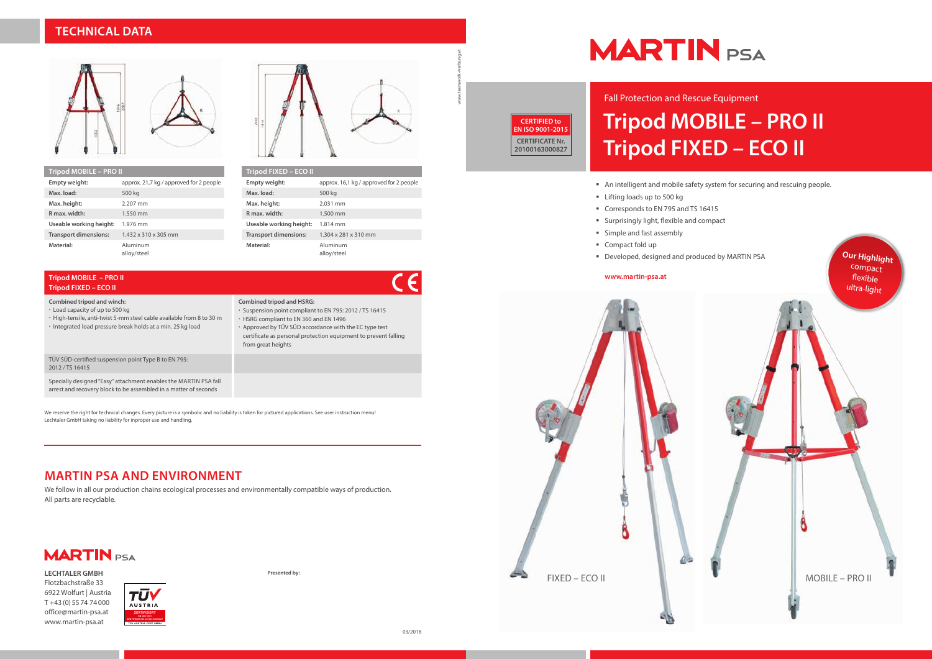# **Tripod MOBILE – PRO II Tripod FIXED – ECO II** Fall Protection and Rescue Equipment

- 
- **Lifting loads up to 500 kg**
- Corresponds to EN 795 and TS 16415
- Surprisingly light, flexible and compact
- **Simple and fast assembly**
- 
- 

An intelligent and mobile safety system for securing and rescuing people.

## **TECHNICAL DATA**



| Tripod FIXED – ECO II        |                                         |
|------------------------------|-----------------------------------------|
| Empty weight:                | approx. 16,1 kg / approved for 2 people |
| Max. load:                   | 500 kg                                  |
| Max. height:                 | 2.031 mm                                |
| R max. width:                | $1.500 \text{ mm}$                      |
| Useable working height:      | 1.814 mm                                |
| <b>Transport dimensions:</b> | 1.304 x 281 x 310 mm                    |
| Material:                    | Aluminum<br>alloy/steel                 |

| Tripod MOBILE – PRO II       |                                         |  |
|------------------------------|-----------------------------------------|--|
| Empty weight:                | approx. 21,7 kg / approved for 2 people |  |
| Max. load:                   | 500 kg                                  |  |
| Max. height:                 | 2.207 mm                                |  |
| R max, width:                | 1.550 mm                                |  |
| Useable working height:      | 1.976 mm                                |  |
| <b>Transport dimensions:</b> | $1.432 \times 310 \times 305$ mm        |  |
| Material:                    | Aluminum<br>alloy/steel                 |  |

## **MARTIN PSA AND ENVIRONMENT**

We reserve the right for technical changes. Every picture is a symbolic and no liability is taken for pictured applications. See user instruction menu! Lechtaler GmbH taking no liability for inproper use and handling.

We follow in all our production chains ecological processes and environmentally compatible ways of production. All parts are recyclable.

**Presented by:**

## **MARTIN** PSA

# www.teamwork-werbung.at



#### **Tripod MOBILE – PRO II Tripod FIXED – ECO II**

**Combined tripod and winch:**



- Load capacity of up to 500 kg
- High-tensile, anti-twist 5-mm steel cable available from 8 to 30 m
- Integrated load pressure break holds at a min. 25 kg load



 Approved by TÜV SÜD accordance with the EC type test certificate as personal protection equipment to prevent falling from great heights

| TÜV SÜD-certified suspension point Type B to EN 795:           |  |
|----------------------------------------------------------------|--|
| 2012/TS 16415                                                  |  |
| Consider designed "Fem" attachment spelder the MADTINIDCA fell |  |

Specially designed "Easy" attachment enables the MARTIN PSA fall arrest and recovery block to be assembled in a matter of seconds

**CERTIFIED to EN ISO 9001-2015 CERTIFICATE Nr. 20100163000827**

**LECHTALER GMBH** Flotzbachstraße 33 6922 Wolfurt | Austria T +43 (0) 55 74 74 000 office@martin-psa.at www.martin-psa.at



 $\epsilon$